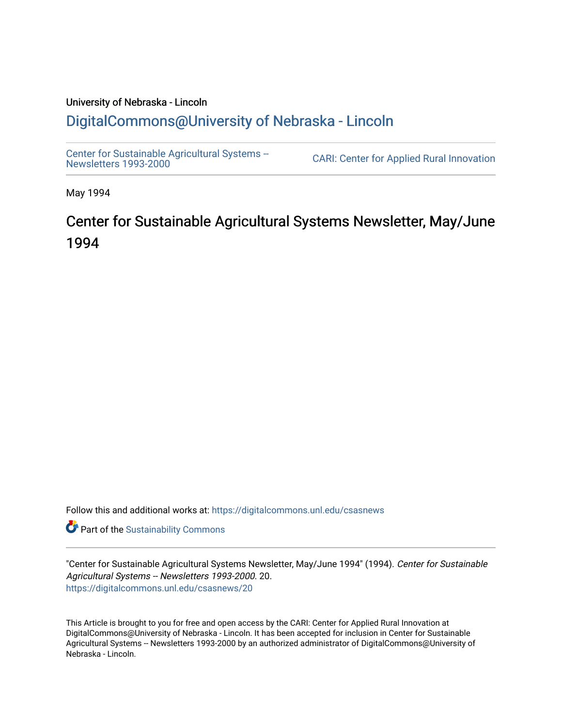# University of Nebraska - Lincoln [DigitalCommons@University of Nebraska - Lincoln](https://digitalcommons.unl.edu/)

[Center for Sustainable Agricultural Systems --](https://digitalcommons.unl.edu/csasnews)<br>Newsletters 1993-2000

CARI: Center for Applied Rural Innovation

May 1994

# Center for Sustainable Agricultural Systems Newsletter, May/June 1994

Follow this and additional works at: [https://digitalcommons.unl.edu/csasnews](https://digitalcommons.unl.edu/csasnews?utm_source=digitalcommons.unl.edu%2Fcsasnews%2F20&utm_medium=PDF&utm_campaign=PDFCoverPages) 

**Part of the [Sustainability Commons](http://network.bepress.com/hgg/discipline/1031?utm_source=digitalcommons.unl.edu%2Fcsasnews%2F20&utm_medium=PDF&utm_campaign=PDFCoverPages)** 

"Center for Sustainable Agricultural Systems Newsletter, May/June 1994" (1994). Center for Sustainable Agricultural Systems -- Newsletters 1993-2000. 20. [https://digitalcommons.unl.edu/csasnews/20](https://digitalcommons.unl.edu/csasnews/20?utm_source=digitalcommons.unl.edu%2Fcsasnews%2F20&utm_medium=PDF&utm_campaign=PDFCoverPages) 

This Article is brought to you for free and open access by the CARI: Center for Applied Rural Innovation at DigitalCommons@University of Nebraska - Lincoln. It has been accepted for inclusion in Center for Sustainable Agricultural Systems -- Newsletters 1993-2000 by an authorized administrator of DigitalCommons@University of Nebraska - Lincoln.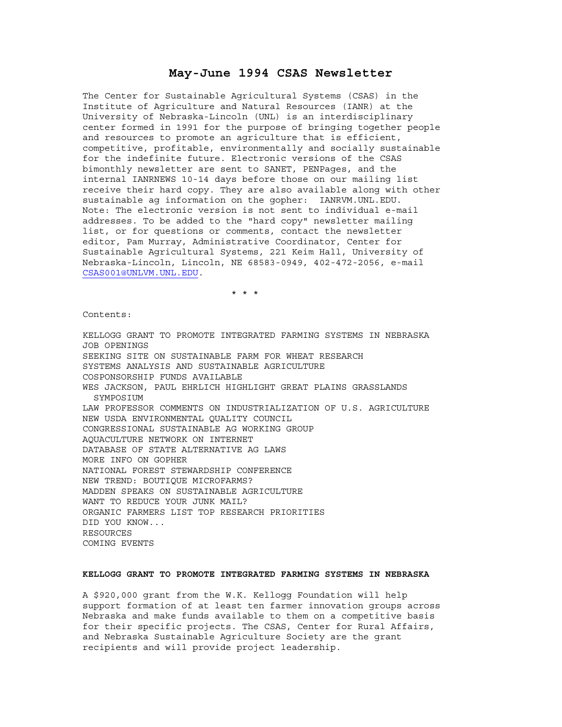# **May-June 1994 CSAS Newsletter**

The Center for Sustainable Agricultural Systems (CSAS) in the Institute of Agriculture and Natural Resources (IANR) at the University of Nebraska-Lincoln (UNL) is an interdisciplinary center formed in 1991 for the purpose of bringing together people and resources to promote an agriculture that is efficient, competitive, profitable, environmentally and socially sustainable for the indefinite future. Electronic versions of the CSAS bimonthly newsletter are sent to SANET, PENPages, and the internal IANRNEWS 10-14 days before those on our mailing list receive their hard copy. They are also available along with other sustainable ag information on the gopher: IANRVM.UNL.EDU. Note: The electronic version is not sent to individual e-mail addresses. To be added to the "hard copy" newsletter mailing list, or for questions or comments, contact the newsletter editor, Pam Murray, Administrative Coordinator, Center for Sustainable Agricultural Systems, 221 Keim Hall, University of Nebraska-Lincoln, Lincoln, NE 68583-0949, 402-472-2056, e-mail CSAS001@UNLVM.UNL.EDU.

\* \* \*

Contents:

KELLOGG GRANT TO PROMOTE INTEGRATED FARMING SYSTEMS IN NEBRASKA JOB OPENINGS SEEKING SITE ON SUSTAINABLE FARM FOR WHEAT RESEARCH SYSTEMS ANALYSIS AND SUSTAINABLE AGRICULTURE COSPONSORSHIP FUNDS AVAILABLE WES JACKSON, PAUL EHRLICH HIGHLIGHT GREAT PLAINS GRASSLANDS SYMPOSIUM LAW PROFESSOR COMMENTS ON INDUSTRIALIZATION OF U.S. AGRICULTURE NEW USDA ENVIRONMENTAL QUALITY COUNCIL CONGRESSIONAL SUSTAINABLE AG WORKING GROUP AQUACULTURE NETWORK ON INTERNET DATABASE OF STATE ALTERNATIVE AG LAWS MORE INFO ON GOPHER NATIONAL FOREST STEWARDSHIP CONFERENCE NEW TREND: BOUTIQUE MICROFARMS? MADDEN SPEAKS ON SUSTAINABLE AGRICULTURE WANT TO REDUCE YOUR JUNK MAIL? ORGANIC FARMERS LIST TOP RESEARCH PRIORITIES DID YOU KNOW... RESOURCES COMING EVENTS

# **KELLOGG GRANT TO PROMOTE INTEGRATED FARMING SYSTEMS IN NEBRASKA**

A \$920,000 grant from the W.K. Kellogg Foundation will help support formation of at least ten farmer innovation groups across Nebraska and make funds available to them on a competitive basis for their specific projects. The CSAS, Center for Rural Affairs, and Nebraska Sustainable Agriculture Society are the grant recipients and will provide project leadership.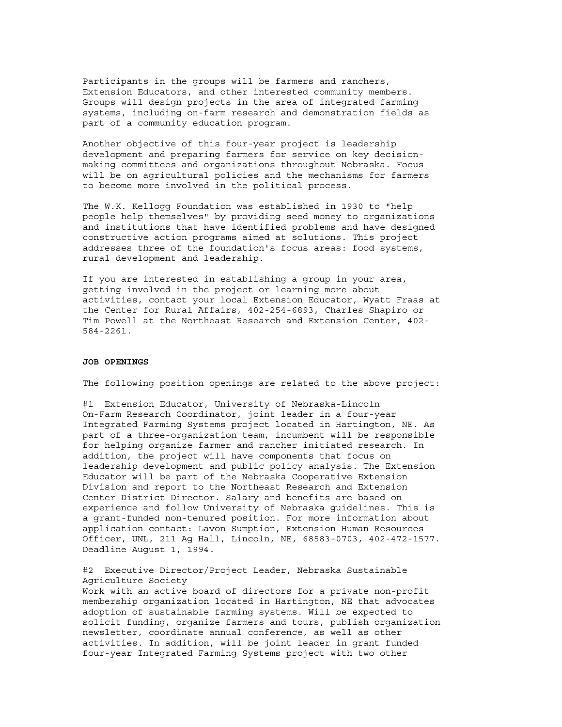Participants in the groups will be farmers and ranchers, Extension Educators, and other interested community members. Groups will design projects in the area of integrated farming systems, including on-farm research and demonstration fields as part of a community education program.

Another objective of this four-year project is leadership development and preparing farmers for service on key decisionmaking committees and organizations throughout Nebraska. Focus will be on agricultural policies and the mechanisms for farmers to become more involved in the political process.

The W.K. Kellogg Foundation was established in 1930 to "help people help themselves" by providing seed money to organizations and institutions that have identified problems and have designed constructive action programs aimed at solutions. This project addresses three of the foundation's focus areas: food systems, rural development and leadership.

If you are interested in establishing a group in your area, getting involved in the project or learning more about activities, contact your local Extension Educator, Wyatt Fraas at the Center for Rural Affairs, 402-254-6893, Charles Shapiro or Tim Powell at the Northeast Research and Extension Center, 402- 584-2261.

## **JOB OPENINGS**

The following position openings are related to the above project:

#1 Extension Educator, University of Nebraska-Lincoln On-Farm Research Coordinator, joint leader in a four-year Integrated Farming Systems project located in Hartington, NE. As part of a three-organization team, incumbent will be responsible for helping organize farmer and rancher initiated research. In addition, the project will have components that focus on leadership development and public policy analysis. The Extension Educator will be part of the Nebraska Cooperative Extension Division and report to the Northeast Research and Extension Center District Director. Salary and benefits are based on experience and follow University of Nebraska guidelines. This is a grant-funded non-tenured position. For more information about application contact: Lavon Sumption, Extension Human Resources Officer, UNL, 211 Ag Hall, Lincoln, NE, 68583-0703, 402-472-1577. Deadline August 1, 1994.

#2 Executive Director/Project Leader, Nebraska Sustainable Agriculture Society

Work with an active board of directors for a private non-profit membership organization located in Hartington, NE that advocates adoption of sustainable farming systems. Will be expected to solicit funding, organize farmers and tours, publish organization newsletter, coordinate annual conference, as well as other activities. In addition, will be joint leader in grant funded four-year Integrated Farming Systems project with two other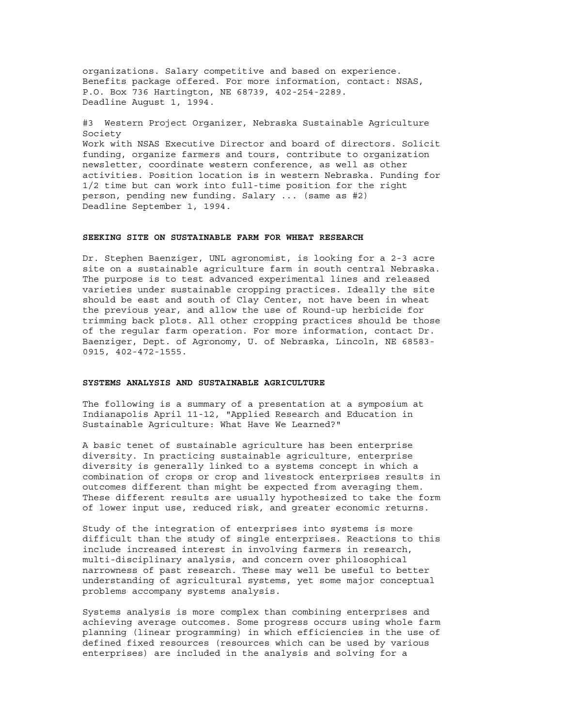organizations. Salary competitive and based on experience. Benefits package offered. For more information, contact: NSAS, P.O. Box 736 Hartington, NE 68739, 402-254-2289. Deadline August 1, 1994.

#3 Western Project Organizer, Nebraska Sustainable Agriculture Society Work with NSAS Executive Director and board of directors. Solicit funding, organize farmers and tours, contribute to organization newsletter, coordinate western conference, as well as other activities. Position location is in western Nebraska. Funding for 1/2 time but can work into full-time position for the right person, pending new funding. Salary ... (same as #2) Deadline September 1, 1994.

# **SEEKING SITE ON SUSTAINABLE FARM FOR WHEAT RESEARCH**

Dr. Stephen Baenziger, UNL agronomist, is looking for a 2-3 acre site on a sustainable agriculture farm in south central Nebraska. The purpose is to test advanced experimental lines and released varieties under sustainable cropping practices. Ideally the site should be east and south of Clay Center, not have been in wheat the previous year, and allow the use of Round-up herbicide for trimming back plots. All other cropping practices should be those of the regular farm operation. For more information, contact Dr. Baenziger, Dept. of Agronomy, U. of Nebraska, Lincoln, NE 68583- 0915, 402-472-1555.

#### **SYSTEMS ANALYSIS AND SUSTAINABLE AGRICULTURE**

The following is a summary of a presentation at a symposium at Indianapolis April 11-12, "Applied Research and Education in Sustainable Agriculture: What Have We Learned?"

A basic tenet of sustainable agriculture has been enterprise diversity. In practicing sustainable agriculture, enterprise diversity is generally linked to a systems concept in which a combination of crops or crop and livestock enterprises results in outcomes different than might be expected from averaging them. These different results are usually hypothesized to take the form of lower input use, reduced risk, and greater economic returns.

Study of the integration of enterprises into systems is more difficult than the study of single enterprises. Reactions to this include increased interest in involving farmers in research, multi-disciplinary analysis, and concern over philosophical narrowness of past research. These may well be useful to better understanding of agricultural systems, yet some major conceptual problems accompany systems analysis.

Systems analysis is more complex than combining enterprises and achieving average outcomes. Some progress occurs using whole farm planning (linear programming) in which efficiencies in the use of defined fixed resources (resources which can be used by various enterprises) are included in the analysis and solving for a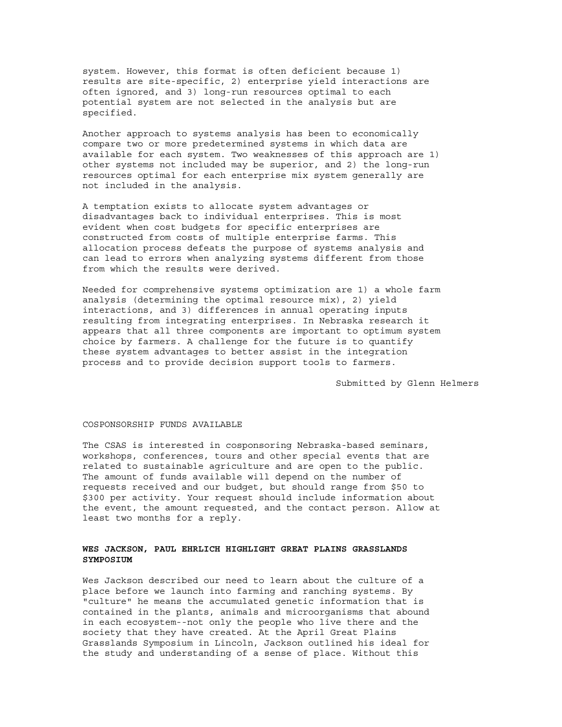system. However, this format is often deficient because 1) results are site-specific, 2) enterprise yield interactions are often ignored, and 3) long-run resources optimal to each potential system are not selected in the analysis but are specified.

Another approach to systems analysis has been to economically compare two or more predetermined systems in which data are available for each system. Two weaknesses of this approach are 1) other systems not included may be superior, and 2) the long-run resources optimal for each enterprise mix system generally are not included in the analysis.

A temptation exists to allocate system advantages or disadvantages back to individual enterprises. This is most evident when cost budgets for specific enterprises are constructed from costs of multiple enterprise farms. This allocation process defeats the purpose of systems analysis and can lead to errors when analyzing systems different from those from which the results were derived.

Needed for comprehensive systems optimization are 1) a whole farm analysis (determining the optimal resource mix), 2) yield interactions, and 3) differences in annual operating inputs resulting from integrating enterprises. In Nebraska research it appears that all three components are important to optimum system choice by farmers. A challenge for the future is to quantify these system advantages to better assist in the integration process and to provide decision support tools to farmers.

Submitted by Glenn Helmers

# COSPONSORSHIP FUNDS AVAILABLE

The CSAS is interested in cosponsoring Nebraska-based seminars, workshops, conferences, tours and other special events that are related to sustainable agriculture and are open to the public. The amount of funds available will depend on the number of requests received and our budget, but should range from \$50 to \$300 per activity. Your request should include information about the event, the amount requested, and the contact person. Allow at least two months for a reply.

#### **WES JACKSON, PAUL EHRLICH HIGHLIGHT GREAT PLAINS GRASSLANDS SYMPOSIUM**

Wes Jackson described our need to learn about the culture of a place before we launch into farming and ranching systems. By "culture" he means the accumulated genetic information that is contained in the plants, animals and microorganisms that abound in each ecosystem--not only the people who live there and the society that they have created. At the April Great Plains Grasslands Symposium in Lincoln, Jackson outlined his ideal for the study and understanding of a sense of place. Without this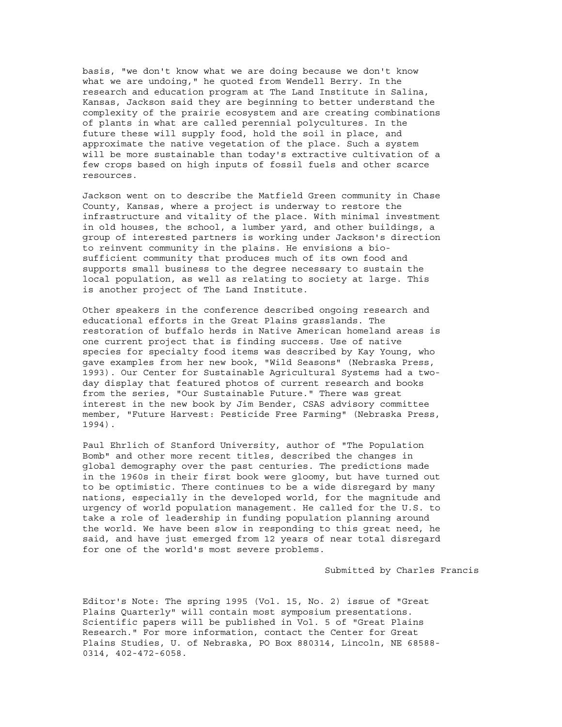basis, "we don't know what we are doing because we don't know what we are undoing," he quoted from Wendell Berry. In the research and education program at The Land Institute in Salina, Kansas, Jackson said they are beginning to better understand the complexity of the prairie ecosystem and are creating combinations of plants in what are called perennial polycultures. In the future these will supply food, hold the soil in place, and approximate the native vegetation of the place. Such a system will be more sustainable than today's extractive cultivation of a few crops based on high inputs of fossil fuels and other scarce resources.

Jackson went on to describe the Matfield Green community in Chase County, Kansas, where a project is underway to restore the infrastructure and vitality of the place. With minimal investment in old houses, the school, a lumber yard, and other buildings, a group of interested partners is working under Jackson's direction to reinvent community in the plains. He envisions a biosufficient community that produces much of its own food and supports small business to the degree necessary to sustain the local population, as well as relating to society at large. This is another project of The Land Institute.

Other speakers in the conference described ongoing research and educational efforts in the Great Plains grasslands. The restoration of buffalo herds in Native American homeland areas is one current project that is finding success. Use of native species for specialty food items was described by Kay Young, who gave examples from her new book, "Wild Seasons" (Nebraska Press, 1993). Our Center for Sustainable Agricultural Systems had a twoday display that featured photos of current research and books from the series, "Our Sustainable Future." There was great interest in the new book by Jim Bender, CSAS advisory committee member, "Future Harvest: Pesticide Free Farming" (Nebraska Press, 1994).

Paul Ehrlich of Stanford University, author of "The Population Bomb" and other more recent titles, described the changes in global demography over the past centuries. The predictions made in the 1960s in their first book were gloomy, but have turned out to be optimistic. There continues to be a wide disregard by many nations, especially in the developed world, for the magnitude and urgency of world population management. He called for the U.S. to take a role of leadership in funding population planning around the world. We have been slow in responding to this great need, he said, and have just emerged from 12 years of near total disregard for one of the world's most severe problems.

Submitted by Charles Francis

Editor's Note: The spring 1995 (Vol. 15, No. 2) issue of "Great Plains Quarterly" will contain most symposium presentations. Scientific papers will be published in Vol. 5 of "Great Plains Research." For more information, contact the Center for Great Plains Studies, U. of Nebraska, PO Box 880314, Lincoln, NE 68588- 0314, 402-472-6058.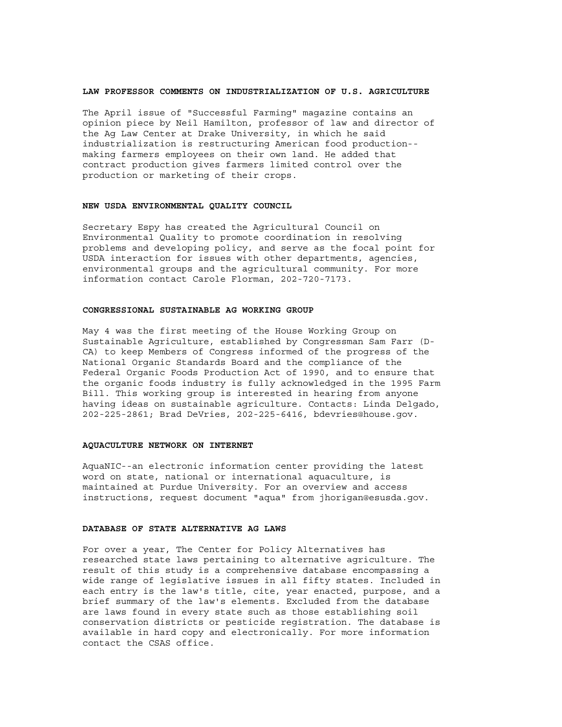#### **LAW PROFESSOR COMMENTS ON INDUSTRIALIZATION OF U.S. AGRICULTURE**

The April issue of "Successful Farming" magazine contains an opinion piece by Neil Hamilton, professor of law and director of the Ag Law Center at Drake University, in which he said industrialization is restructuring American food production- making farmers employees on their own land. He added that contract production gives farmers limited control over the production or marketing of their crops.

#### **NEW USDA ENVIRONMENTAL QUALITY COUNCIL**

Secretary Espy has created the Agricultural Council on Environmental Quality to promote coordination in resolving problems and developing policy, and serve as the focal point for USDA interaction for issues with other departments, agencies, environmental groups and the agricultural community. For more information contact Carole Florman, 202-720-7173.

#### **CONGRESSIONAL SUSTAINABLE AG WORKING GROUP**

May 4 was the first meeting of the House Working Group on Sustainable Agriculture, established by Congressman Sam Farr (D-CA) to keep Members of Congress informed of the progress of the National Organic Standards Board and the compliance of the Federal Organic Foods Production Act of 1990, and to ensure that the organic foods industry is fully acknowledged in the 1995 Farm Bill. This working group is interested in hearing from anyone having ideas on sustainable agriculture. Contacts: Linda Delgado, 202-225-2861; Brad DeVries, 202-225-6416, bdevries@house.gov.

#### **AQUACULTURE NETWORK ON INTERNET**

AquaNIC--an electronic information center providing the latest word on state, national or international aquaculture, is maintained at Purdue University. For an overview and access instructions, request document "aqua" from jhorigan@esusda.gov.

#### **DATABASE OF STATE ALTERNATIVE AG LAWS**

For over a year, The Center for Policy Alternatives has researched state laws pertaining to alternative agriculture. The result of this study is a comprehensive database encompassing a wide range of legislative issues in all fifty states. Included in each entry is the law's title, cite, year enacted, purpose, and a brief summary of the law's elements. Excluded from the database are laws found in every state such as those establishing soil conservation districts or pesticide registration. The database is available in hard copy and electronically. For more information contact the CSAS office.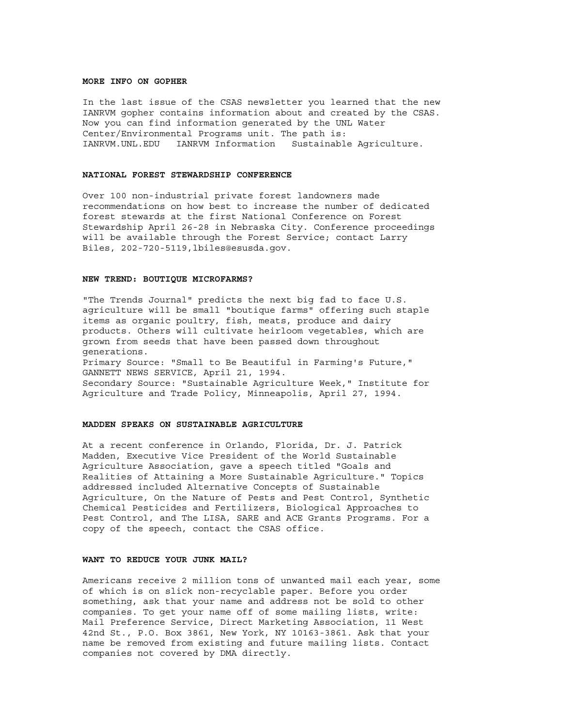# **MORE INFO ON GOPHER**

In the last issue of the CSAS newsletter you learned that the new IANRVM gopher contains information about and created by the CSAS. Now you can find information generated by the UNL Water Center/Environmental Programs unit. The path is: IANRVM.UNL.EDU IANRVM Information Sustainable Agriculture.

### **NATIONAL FOREST STEWARDSHIP CONFERENCE**

Over 100 non-industrial private forest landowners made recommendations on how best to increase the number of dedicated forest stewards at the first National Conference on Forest Stewardship April 26-28 in Nebraska City. Conference proceedings will be available through the Forest Service; contact Larry Biles, 202-720-5119,lbiles@esusda.gov.

#### **NEW TREND: BOUTIQUE MICROFARMS?**

"The Trends Journal" predicts the next big fad to face U.S. agriculture will be small "boutique farms" offering such staple items as organic poultry, fish, meats, produce and dairy products. Others will cultivate heirloom vegetables, which are grown from seeds that have been passed down throughout generations. Primary Source: "Small to Be Beautiful in Farming's Future," GANNETT NEWS SERVICE, April 21, 1994. Secondary Source: "Sustainable Agriculture Week," Institute for Agriculture and Trade Policy, Minneapolis, April 27, 1994.

# **MADDEN SPEAKS ON SUSTAINABLE AGRICULTURE**

At a recent conference in Orlando, Florida, Dr. J. Patrick Madden, Executive Vice President of the World Sustainable Agriculture Association, gave a speech titled "Goals and Realities of Attaining a More Sustainable Agriculture." Topics addressed included Alternative Concepts of Sustainable Agriculture, On the Nature of Pests and Pest Control, Synthetic Chemical Pesticides and Fertilizers, Biological Approaches to Pest Control, and The LISA, SARE and ACE Grants Programs. For a copy of the speech, contact the CSAS office.

#### **WANT TO REDUCE YOUR JUNK MAIL?**

Americans receive 2 million tons of unwanted mail each year, some of which is on slick non-recyclable paper. Before you order something, ask that your name and address not be sold to other companies. To get your name off of some mailing lists, write: Mail Preference Service, Direct Marketing Association, 11 West 42nd St., P.O. Box 3861, New York, NY 10163-3861. Ask that your name be removed from existing and future mailing lists. Contact companies not covered by DMA directly.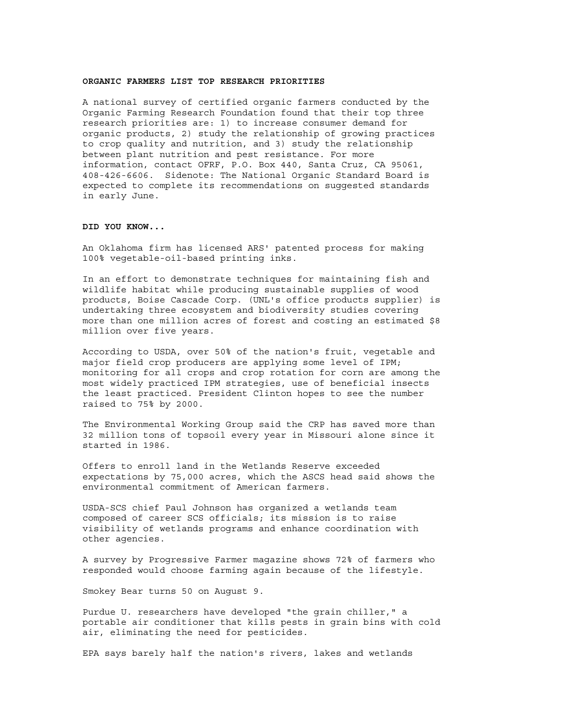## **ORGANIC FARMERS LIST TOP RESEARCH PRIORITIES**

A national survey of certified organic farmers conducted by the Organic Farming Research Foundation found that their top three research priorities are: 1) to increase consumer demand for organic products, 2) study the relationship of growing practices to crop quality and nutrition, and 3) study the relationship between plant nutrition and pest resistance. For more information, contact OFRF, P.O. Box 440, Santa Cruz, CA 95061, 408-426-6606. Sidenote: The National Organic Standard Board is expected to complete its recommendations on suggested standards in early June.

# **DID YOU KNOW...**

An Oklahoma firm has licensed ARS' patented process for making 100% vegetable-oil-based printing inks.

In an effort to demonstrate techniques for maintaining fish and wildlife habitat while producing sustainable supplies of wood products, Boise Cascade Corp. (UNL's office products supplier) is undertaking three ecosystem and biodiversity studies covering more than one million acres of forest and costing an estimated \$8 million over five years.

According to USDA, over 50% of the nation's fruit, vegetable and major field crop producers are applying some level of IPM; monitoring for all crops and crop rotation for corn are among the most widely practiced IPM strategies, use of beneficial insects the least practiced. President Clinton hopes to see the number raised to 75% by 2000.

The Environmental Working Group said the CRP has saved more than 32 million tons of topsoil every year in Missouri alone since it started in 1986.

Offers to enroll land in the Wetlands Reserve exceeded expectations by 75,000 acres, which the ASCS head said shows the environmental commitment of American farmers.

USDA-SCS chief Paul Johnson has organized a wetlands team composed of career SCS officials; its mission is to raise visibility of wetlands programs and enhance coordination with other agencies.

A survey by Progressive Farmer magazine shows 72% of farmers who responded would choose farming again because of the lifestyle.

Smokey Bear turns 50 on August 9.

Purdue U. researchers have developed "the grain chiller," a portable air conditioner that kills pests in grain bins with cold air, eliminating the need for pesticides.

EPA says barely half the nation's rivers, lakes and wetlands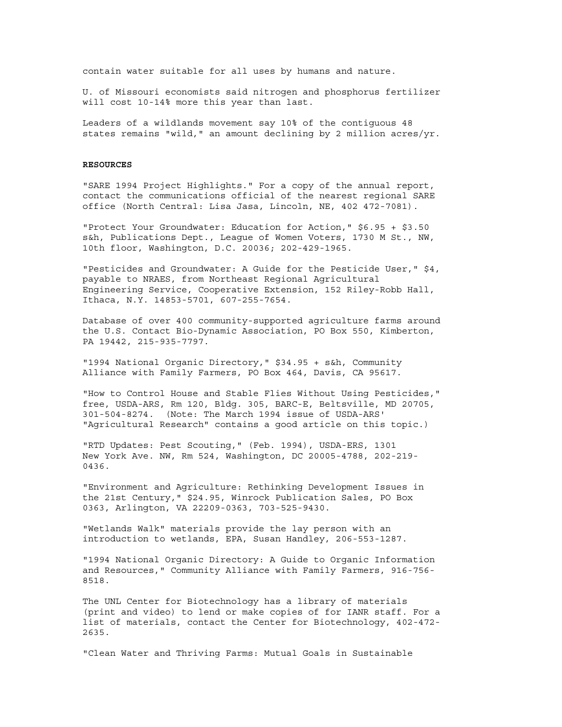contain water suitable for all uses by humans and nature.

U. of Missouri economists said nitrogen and phosphorus fertilizer will cost 10-14% more this year than last.

Leaders of a wildlands movement say 10% of the contiguous 48 states remains "wild," an amount declining by 2 million acres/yr.

#### **RESOURCES**

"SARE 1994 Project Highlights." For a copy of the annual report, contact the communications official of the nearest regional SARE office (North Central: Lisa Jasa, Lincoln, NE, 402 472-7081).

"Protect Your Groundwater: Education for Action," \$6.95 + \$3.50 s&h, Publications Dept., League of Women Voters, 1730 M St., NW, 10th floor, Washington, D.C. 20036; 202-429-1965.

"Pesticides and Groundwater: A Guide for the Pesticide User," \$4, payable to NRAES, from Northeast Regional Agricultural Engineering Service, Cooperative Extension, 152 Riley-Robb Hall, Ithaca, N.Y. 14853-5701, 607-255-7654.

Database of over 400 community-supported agriculture farms around the U.S. Contact Bio-Dynamic Association, PO Box 550, Kimberton, PA 19442, 215-935-7797.

"1994 National Organic Directory," \$34.95 + s&h, Community Alliance with Family Farmers, PO Box 464, Davis, CA 95617.

"How to Control House and Stable Flies Without Using Pesticides," free, USDA-ARS, Rm 120, Bldg. 305, BARC-E, Beltsville, MD 20705, 301-504-8274. (Note: The March 1994 issue of USDA-ARS' "Agricultural Research" contains a good article on this topic.)

"RTD Updates: Pest Scouting," (Feb. 1994), USDA-ERS, 1301 New York Ave. NW, Rm 524, Washington, DC 20005-4788, 202-219- 0436.

"Environment and Agriculture: Rethinking Development Issues in the 21st Century," \$24.95, Winrock Publication Sales, PO Box 0363, Arlington, VA 22209-0363, 703-525-9430.

"Wetlands Walk" materials provide the lay person with an introduction to wetlands, EPA, Susan Handley, 206-553-1287.

"1994 National Organic Directory: A Guide to Organic Information and Resources," Community Alliance with Family Farmers, 916-756- 8518.

The UNL Center for Biotechnology has a library of materials (print and video) to lend or make copies of for IANR staff. For a list of materials, contact the Center for Biotechnology, 402-472- 2635.

"Clean Water and Thriving Farms: Mutual Goals in Sustainable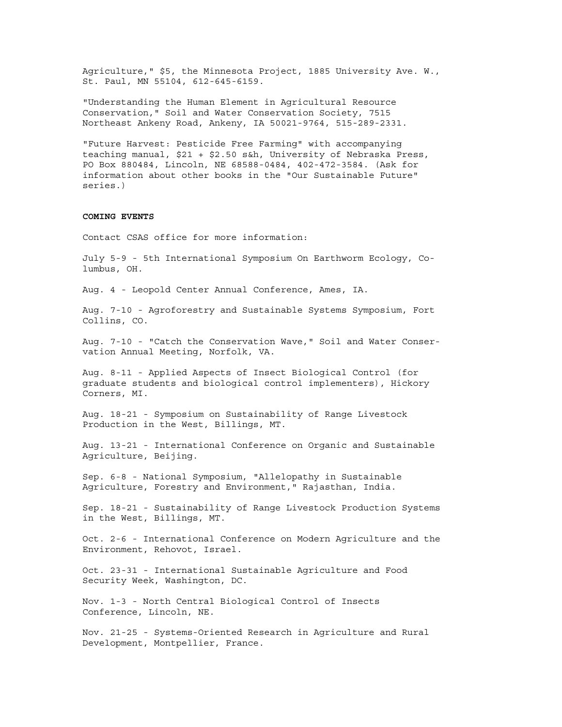Agriculture," \$5, the Minnesota Project, 1885 University Ave. W., St. Paul, MN 55104, 612-645-6159.

"Understanding the Human Element in Agricultural Resource Conservation," Soil and Water Conservation Society, 7515 Northeast Ankeny Road, Ankeny, IA 50021-9764, 515-289-2331.

"Future Harvest: Pesticide Free Farming" with accompanying teaching manual, \$21 + \$2.50 s&h, University of Nebraska Press, PO Box 880484, Lincoln, NE 68588-0484, 402-472-3584. (Ask for information about other books in the "Our Sustainable Future" series.)

# **COMING EVENTS**

Contact CSAS office for more information:

July 5-9 - 5th International Symposium On Earthworm Ecology, Columbus, OH.

Aug. 4 - Leopold Center Annual Conference, Ames, IA.

Aug. 7-10 - Agroforestry and Sustainable Systems Symposium, Fort Collins, CO.

Aug. 7-10 - "Catch the Conservation Wave," Soil and Water Conservation Annual Meeting, Norfolk, VA.

Aug. 8-11 - Applied Aspects of Insect Biological Control (for graduate students and biological control implementers), Hickory Corners, MI.

Aug. 18-21 - Symposium on Sustainability of Range Livestock Production in the West, Billings, MT.

Aug. 13-21 - International Conference on Organic and Sustainable Agriculture, Beijing.

Sep. 6-8 - National Symposium, "Allelopathy in Sustainable Agriculture, Forestry and Environment," Rajasthan, India.

Sep. 18-21 - Sustainability of Range Livestock Production Systems in the West, Billings, MT.

Oct. 2-6 - International Conference on Modern Agriculture and the Environment, Rehovot, Israel.

Oct. 23-31 - International Sustainable Agriculture and Food Security Week, Washington, DC.

Nov. 1-3 - North Central Biological Control of Insects Conference, Lincoln, NE.

Nov. 21-25 - Systems-Oriented Research in Agriculture and Rural Development, Montpellier, France.